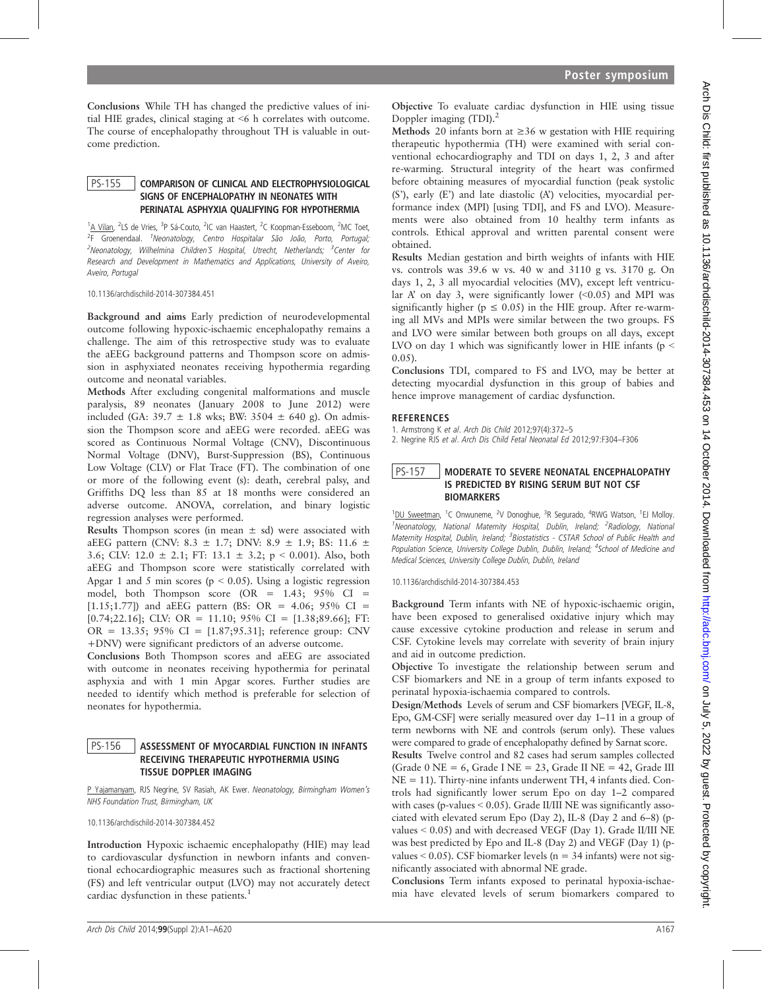Conclusions While TH has changed the predictive values of initial HIE grades, clinical staging at <6 h correlates with outcome. The course of encephalopathy throughout TH is valuable in outcome prediction.

#### PS-155 COMPARISON OF CLINICAL AND ELECTROPHYSIOLOGICAL SIGNS OF ENCEPHALOPATHY IN NEONATES WITH PERINATAL ASPHYXIA QUALIFYING FOR HYPOTHERMIA

<sup>1</sup>A Vilan, <sup>2</sup>LS de Vries, <sup>3</sup>P Sá-Couto, <sup>2</sup>IC van Haastert, <sup>2</sup>C Koopman-Esseboom, <sup>2</sup>MC Toet, <sup>2</sup>F Groenendaal. <sup>1</sup>Neonatology, Centro Hospitalar São João, Porto, Portugal; <sup>2</sup>Neonatology, Wilhelmina Children´S Hospital, Utrecht, Netherlands; <sup>3</sup>Center for Research and Development in Mathematics and Applications, University of Aveiro, Aveiro, Portugal

10.1136/archdischild-2014-307384.451

Background and aims Early prediction of neurodevelopmental outcome following hypoxic-ischaemic encephalopathy remains a challenge. The aim of this retrospective study was to evaluate the aEEG background patterns and Thompson score on admission in asphyxiated neonates receiving hypothermia regarding outcome and neonatal variables.

Methods After excluding congenital malformations and muscle paralysis, 89 neonates (January 2008 to June 2012) were included (GA:  $39.7 \pm 1.8$  wks; BW:  $3504 \pm 640$  g). On admission the Thompson score and aEEG were recorded. aEEG was scored as Continuous Normal Voltage (CNV), Discontinuous Normal Voltage (DNV), Burst-Suppression (BS), Continuous Low Voltage (CLV) or Flat Trace (FT). The combination of one or more of the following event (s): death, cerebral palsy, and Griffiths DQ less than 85 at 18 months were considered an adverse outcome. ANOVA, correlation, and binary logistic regression analyses were performed.

Results Thompson scores (in mean  $\pm$  sd) were associated with aEEG pattern (CNV: 8.3  $\pm$  1.7; DNV: 8.9  $\pm$  1.9; BS: 11.6  $\pm$ 3.6; CLV: 12.0  $\pm$  2.1; FT: 13.1  $\pm$  3.2; p < 0.001). Also, both aEEG and Thompson score were statistically correlated with Apgar 1 and 5 min scores ( $p < 0.05$ ). Using a logistic regression model, both Thompson score (OR = 1.43; 95% CI = [1.15;1.77]) and aEEG pattern (BS: OR = 4.06; 95% CI =  $[0.74;22.16]$ ; CLV: OR = 11.10; 95% CI =  $[1.38;89.66]$ ; FT: OR =  $13.35$ ;  $95\%$  CI =  $[1.87; 95.31]$ ; reference group: CNV +DNV) were significant predictors of an adverse outcome.

Conclusions Both Thompson scores and aEEG are associated with outcome in neonates receiving hypothermia for perinatal asphyxia and with 1 min Apgar scores. Further studies are needed to identify which method is preferable for selection of neonates for hypothermia.

#### PS-156 ASSESSMENT OF MYOCARDIAL FUNCTION IN INFANTS RECEIVING THERAPEUTIC HYPOTHERMIA USING TISSUE DOPPLER IMAGING

P Yajamanyam, RJS Negrine, SV Rasiah, AK Ewer. Neonatology, Birmingham Women's NHS Foundation Trust, Birmingham, UK

10.1136/archdischild-2014-307384.452

Introduction Hypoxic ischaemic encephalopathy (HIE) may lead to cardiovascular dysfunction in newborn infants and conventional echocardiographic measures such as fractional shortening (FS) and left ventricular output (LVO) may not accurately detect cardiac dysfunction in these patients.<sup>1</sup>

Objective To evaluate cardiac dysfunction in HIE using tissue Doppler imaging  $(TDI)$ <sup>2</sup>

Methods 20 infants born at  $\geq$ 36 w gestation with HIE requiring therapeutic hypothermia (TH) were examined with serial conventional echocardiography and TDI on days 1, 2, 3 and after re-warming. Structural integrity of the heart was confirmed before obtaining measures of myocardial function (peak systolic (S'), early (E') and late diastolic (A') velocities, myocardial performance index (MPI) [using TDI], and FS and LVO). Measurements were also obtained from 10 healthy term infants as controls. Ethical approval and written parental consent were obtained.

Results Median gestation and birth weights of infants with HIE vs. controls was 39.6 w vs. 40 w and 3110 g vs. 3170 g. On days 1, 2, 3 all myocardial velocities (MV), except left ventricular  $A'$  on day 3, were significantly lower  $(<0.05)$  and MPI was significantly higher ( $p \le 0.05$ ) in the HIE group. After re-warming all MVs and MPIs were similar between the two groups. FS and LVO were similar between both groups on all days, except LVO on day 1 which was significantly lower in HIE infants ( $p <$ 0.05).

Conclusions TDI, compared to FS and LVO, may be better at detecting myocardial dysfunction in this group of babies and hence improve management of cardiac dysfunction.

#### **REFERENCES**

1. Armstrong K et al. Arch Dis Child 2012;97(4):372–5 2. Negrine RJS et al. Arch Dis Child Fetal Neonatal Ed 2012;97:F304–F306

## PS-157 | MODERATE TO SEVERE NEONATAL ENCEPHALOPATHY IS PREDICTED BY RISING SERUM BUT NOT CSF BIOMARKERS

<sup>1</sup>DU Sweetman, <sup>1</sup>C Onwuneme, <sup>2</sup>V Donoghue, <sup>3</sup>R Segurado, <sup>4</sup>RWG Watson, <sup>1</sup>EJ Molloy. <sup>1</sup>Neonatology, National Maternity Hospital, Dublin, Ireland; <sup>2</sup>Radiology, Nationa. Maternity Hospital, Dublin, Ireland; <sup>3</sup>Biostatistics - CSTAR School of Public Health and Population Science, University College Dublin, Dublin, Ireland; <sup>4</sup>School of Medicine and Medical Sciences, University College Dublin, Dublin, Ireland

10.1136/archdischild-2014-307384.453

Background Term infants with NE of hypoxic-ischaemic origin, have been exposed to generalised oxidative injury which may cause excessive cytokine production and release in serum and CSF. Cytokine levels may correlate with severity of brain injury and aid in outcome prediction.

Objective To investigate the relationship between serum and CSF biomarkers and NE in a group of term infants exposed to perinatal hypoxia-ischaemia compared to controls.

Design/Methods Levels of serum and CSF biomarkers [VEGF, IL-8, Epo, GM-CSF] were serially measured over day 1–11 in a group of term newborns with NE and controls (serum only). These values were compared to grade of encephalopathy defined by Sarnat score.

Results Twelve control and 82 cases had serum samples collected (Grade  $0$  NE = 6, Grade I NE = 23, Grade II NE = 42, Grade III NE = 11). Thirty-nine infants underwent TH, 4 infants died. Controls had significantly lower serum Epo on day 1–2 compared with cases (p-values < 0.05). Grade II/III NE was significantly associated with elevated serum Epo (Day 2), IL-8 (Day 2 and 6–8) (pvalues < 0.05) and with decreased VEGF (Day 1). Grade II/III NE was best predicted by Epo and IL-8 (Day 2) and VEGF (Day 1) (pvalues  $\leq 0.05$ ). CSF biomarker levels (n = 34 infants) were not significantly associated with abnormal NE grade.

Conclusions Term infants exposed to perinatal hypoxia-ischaemia have elevated levels of serum biomarkers compared to